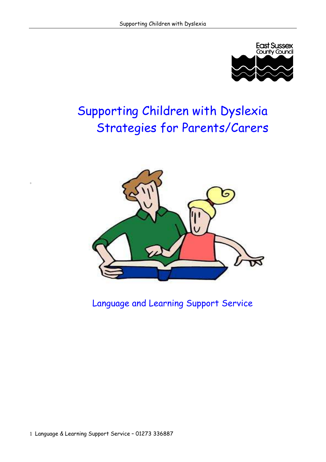

# Supporting Children with Dyslexia Strategies for Parents/Carers



## Language and Learning Support Service

+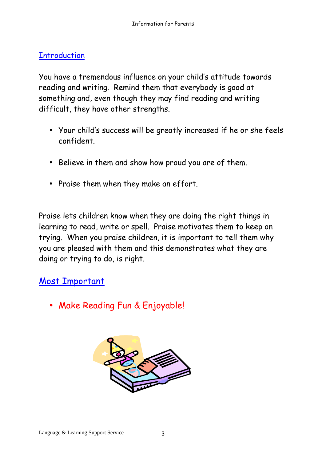## <span id="page-2-0"></span>**Introduction**

You have a tremendous influence on your child's attitude towards reading and writing. Remind them that everybody is good at something and, even though they may find reading and writing difficult, they have other strengths.

- Your child's success will be greatly increased if he or she feels confident.
- Believe in them and show how proud you are of them.
- Praise them when they make an effort.

Praise lets children know when they are doing the right things in learning to read, write or spell. Praise motivates them to keep on trying. When you praise children, it is important to tell them why you are pleased with them and this demonstrates what they are doing or trying to do, is right.

## Most Important

• Make Reading Fun & Enjoyable!

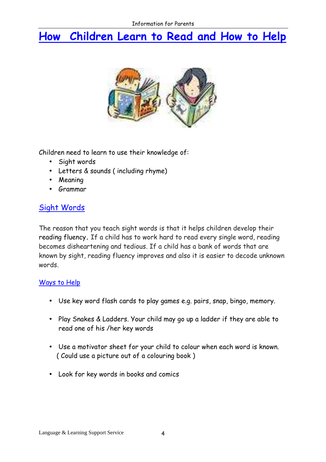# <span id="page-3-0"></span>How Children Learn to Read and How to Help



Children need to learn to use their knowledge of:

- Sight words
- Letters & sounds ( including rhyme)
- Meaning
- Grammar

### Sight Words

The reason that you teach sight words is that it helps children develop their reading fluency. If a child has to work hard to read every single word, reading becomes disheartening and tedious. If a child has a bank of words that are known by sight, reading fluency improves and also it is easier to decode unknown words.

#### Ways to Help

- Use key word flash cards to play games e.g. pairs, snap, bingo, memory.
- Play Snakes & Ladders. Your child may go up a ladder if they are able to read one of his /her key words
- Use a motivator sheet for your child to colour when each word is known. ( Could use a picture out of a colouring book )
- Look for key words in books and comics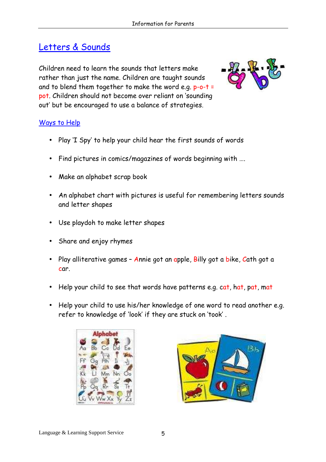## Letters & Sounds

Children need to learn the sounds that letters make rather than just the name. Children are taught sounds and to blend them together to make the word e.g. p-o-t = pot. Children should not become over reliant on 'sounding out' but be encouraged to use a balance of strategies.



#### Ways to Help

- Play 'I Spy' to help your child hear the first sounds of words
- Find pictures in comics/magazines of words beginning with ….
- Make an alphabet scrap book
- An alphabet chart with pictures is useful for remembering letters sounds and letter shapes
- Use playdoh to make letter shapes
- Share and enjoy rhymes
- Play alliterative games Annie got an apple, Billy got a bike, Cath got a car.
- Help your child to see that words have patterns e.g. cat, hat, pat, mat
- Help your child to use his/her knowledge of one word to read another e.g. refer to knowledge of 'look' if they are stuck on 'took' .



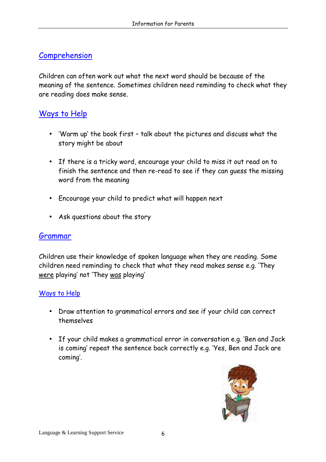## **Comprehension**

Children can often work out what the next word should be because of the meaning of the sentence. Sometimes children need reminding to check what they are reading does make sense.

### Ways to Help

- 'Warm up' the book first talk about the pictures and discuss what the story might be about
- If there is a tricky word, encourage your child to miss it out read on to finish the sentence and then re-read to see if they can guess the missing word from the meaning
- Encourage your child to predict what will happen next
- Ask questions about the story

#### Grammar

Children use their knowledge of spoken language when they are reading. Some children need reminding to check that what they read makes sense e.g. 'They were playing' not 'They was playing'

#### Ways to Help

- Draw attention to grammatical errors and see if your child can correct themselves
- If your child makes a grammatical error in conversation e.g. 'Ben and Jack is coming' repeat the sentence back correctly e.g. 'Yes, Ben and Jack are coming'.

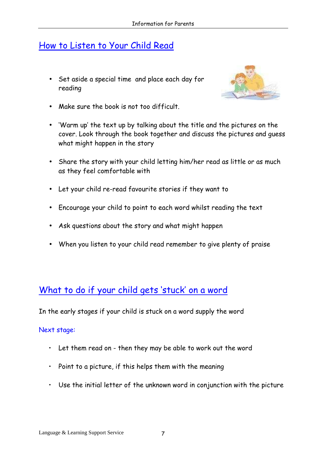## <span id="page-6-0"></span>How to Listen to Your Child Read

• Set aside a special time and place each day for reading



- Make sure the book is not too difficult.
- 'Warm up' the text up by talking about the title and the pictures on the cover. Look through the book together and discuss the pictures and guess what might happen in the story
- Share the story with your child letting him/her read as little or as much as they feel comfortable with
- Let your child re-read favourite stories if they want to
- Encourage your child to point to each word whilst reading the text
- Ask questions about the story and what might happen
- When you listen to your child read remember to give plenty of praise

## What to do if your child gets 'stuck' on a word

In the early stages if your child is stuck on a word supply the word

#### Next stage:

- Let them read on then they may be able to work out the word
- Point to a picture, if this helps them with the meaning
- Use the initial letter of the unknown word in conjunction with the picture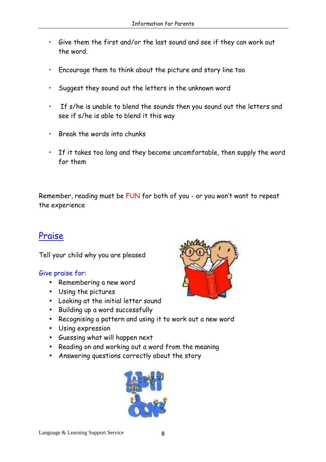- Give them the first and/or the last sound and see if they can work out the word.
- Encourage them to think about the picture and story line too
- Suggest they sound out the letters in the unknown word
- If s/he is unable to blend the sounds then you sound out the letters and see if s/he is able to blend it this way
- Break the words into chunks
- If it takes too long and they become uncomfortable, then supply the word for them

Remember, reading must be FUN for both of you - or you won't want to repeat the experience

## Praise

Tell your child why you are pleased

#### Give praise for:

- Remembering a new word
- Using the pictures
- Looking at the initial letter sound
- Building up a word successfully
- Recognising a pattern and using it to work out a new word
- Using expression
- Guessing what will happen next
- Reading on and working out a word from the meaning
- Answering questions correctly about the story



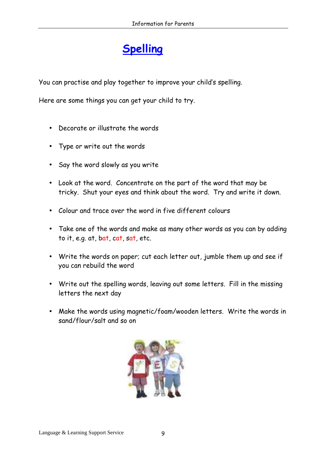# **Spelling**

<span id="page-8-0"></span>You can practise and play together to improve your child's spelling.

Here are some things you can get your child to try.

- Decorate or illustrate the words
- Type or write out the words
- Say the word slowly as you write
- Look at the word. Concentrate on the part of the word that may be tricky. Shut your eyes and think about the word. Try and write it down.
- Colour and trace over the word in five different colours
- Take one of the words and make as many other words as you can by adding to it, e.g. at, bat, cat, sat, etc.
- Write the words on paper; cut each letter out, jumble them up and see if you can rebuild the word
- Write out the spelling words, leaving out some letters. Fill in the missing letters the next day
- Make the words using magnetic/foam/wooden letters. Write the words in sand/flour/salt and so on

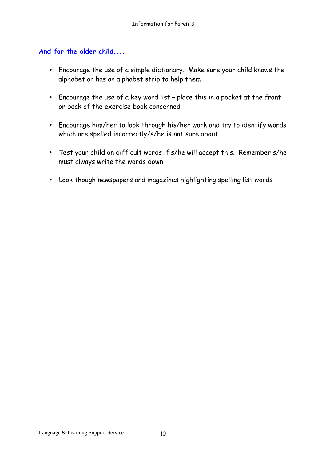#### And for the older child....

- Encourage the use of a simple dictionary. Make sure your child knows the alphabet or has an alphabet strip to help them
- Encourage the use of a key word list place this in a pocket at the front or back of the exercise book concerned
- Encourage him/her to look through his/her work and try to identify words which are spelled incorrectly/s/he is not sure about
- Test your child on difficult words if s/he will accept this. Remember s/he must always write the words down
- Look though newspapers and magazines highlighting spelling list words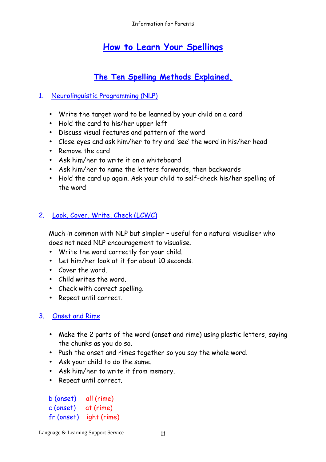## How to Learn Your Spellings

## The Ten Spelling Methods Explained.

#### <span id="page-10-0"></span>1. Neurolinguistic Programming (NLP)

- Write the target word to be learned by your child on a card
- Hold the card to his/her upper left
- Discuss visual features and pattern of the word
- Close eyes and ask him/her to try and 'see' the word in his/her head
- Remove the card
- Ask him/her to write it on a whiteboard
- Ask him/her to name the letters forwards, then backwards
- Hold the card up again. Ask your child to self-check his/her spelling of the word

#### 2. Look, Cover, Write, Check (LCWC)

Much in common with NLP but simpler – useful for a natural visualiser who does not need NLP encouragement to visualise.

- Write the word correctly for your child.
- Let him/her look at it for about 10 seconds.
- Cover the word.
- Child writes the word.
- Check with correct spelling.
- Repeat until correct.

#### 3. Onset and Rime

- Make the 2 parts of the word (onset and rime) using plastic letters, saying the chunks as you do so.
- Push the onset and rimes together so you say the whole word.
- Ask your child to do the same.
- Ask him/her to write it from memory.
- Repeat until correct.

b (onset) all (rime) c (onset) at (rime) fr (onset) ight (rime)

Language & Learning Support Service 11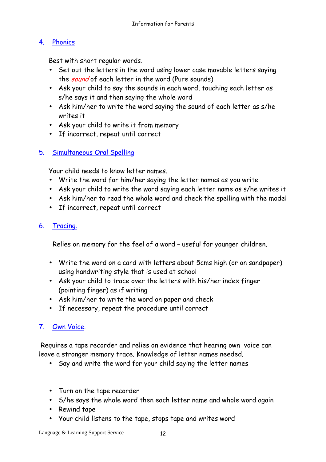#### 4. Phonics

Best with short regular words.

- Set out the letters in the word using lower case movable letters saying the sound of each letter in the word (Pure sounds)
- Ask your child to say the sounds in each word, touching each letter as s/he says it and then saying the whole word
- Ask him/her to write the word saying the sound of each letter as s/he writes it
- Ask your child to write it from memory
- If incorrect, repeat until correct

### 5. Simultaneous Oral Spelling

Your child needs to know letter names.

- Write the word for him/her saying the letter names as you write
- Ask your child to write the word saying each letter name as s/he writes it
- Ask him/her to read the whole word and check the spelling with the model
- If incorrect, repeat until correct

#### 6. Tracing.

Relies on memory for the feel of a word – useful for younger children.

- Write the word on a card with letters about 5cms high (or on sandpaper) using handwriting style that is used at school
- Ask your child to trace over the letters with his/her index finger (pointing finger) as if writing
- Ask him/her to write the word on paper and check
- If necessary, repeat the procedure until correct

### 7. Own Voice.

 Requires a tape recorder and relies on evidence that hearing own voice can leave a stronger memory trace. Knowledge of letter names needed.

- Say and write the word for your child saying the letter names
- Turn on the tape recorder
- S/he says the whole word then each letter name and whole word again
- Rewind tape
- Your child listens to the tape, stops tape and writes word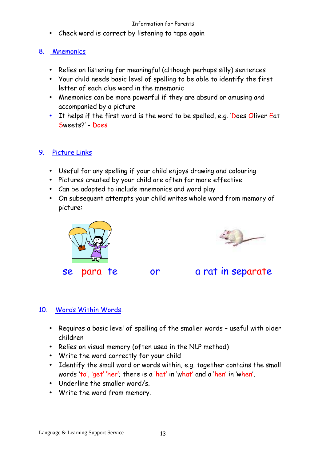• Check word is correct by listening to tape again

#### 8. Mnemonics

- Relies on listening for meaningful (although perhaps silly) sentences
- Your child needs basic level of spelling to be able to identify the first letter of each clue word in the mnemonic
- Mnemonics can be more powerful if they are absurd or amusing and accompanied by a picture
- It helps if the first word is the word to be spelled, e.g. 'Does Oliver Eat Sweets?' - Does

### 9. Picture Links

- Useful for any spelling if your child enjoys drawing and colouring
- Pictures created by your child are often far more effective
- Can be adapted to include mnemonics and word play
- On subsequent attempts your child writes whole word from memory of picture:





se para te or a rat in separate

### 10. Words Within Words.

- Requires a basic level of spelling of the smaller words useful with older children
- Relies on visual memory (often used in the NLP method)
- Write the word correctly for your child
- Identify the small word or words within, e.g. together contains the small words 'to', 'get' 'her'; there is a 'hat' in 'what' and a 'hen' in 'when'.
- Underline the smaller word/s.
- Write the word from memory.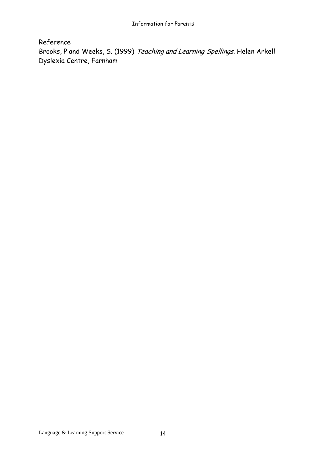#### Reference

Brooks, P and Weeks, S. (1999) Teaching and Learning Spellings. Helen Arkell Dyslexia Centre, Farnham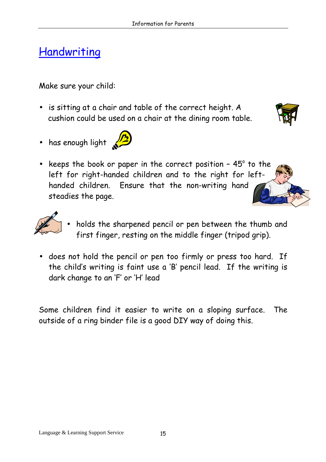# <span id="page-14-0"></span>Handwriting

Make sure your child:

- is sitting at a chair and table of the correct height. A cushion could be used on a chair at the dining room table.
- has enough light  $\mathbb{Z}$



• keeps the book or paper in the correct position -  $45^\circ$  to the left for right-handed children and to the right for lefthanded children. Ensure that the non-writing hand steadies the page.



- holds the sharpened pencil or pen between the thumb and first finger, resting on the middle finger (tripod grip).
- does not hold the pencil or pen too firmly or press too hard. If the child's writing is faint use a 'B' pencil lead. If the writing is dark change to an 'F' or 'H' lead

Some children find it easier to write on a sloping surface. The outside of a ring binder file is a good DIY way of doing this.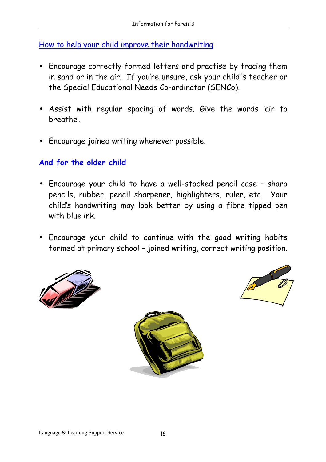How to help your child improve their handwriting

- Encourage correctly formed letters and practise by tracing them in sand or in the air. If you're unsure, ask your child's teacher or the Special Educational Needs Co-ordinator (SENCo).
- Assist with regular spacing of words. Give the words 'air to breathe'.
- Encourage joined writing whenever possible.

### And for the older child

- Encourage your child to have a well-stocked pencil case sharp pencils, rubber, pencil sharpener, highlighters, ruler, etc. Your child's handwriting may look better by using a fibre tipped pen with blue ink.
- Encourage your child to continue with the good writing habits formed at primary school – joined writing, correct writing position.





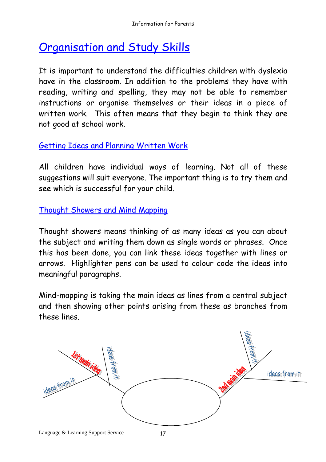# <span id="page-16-0"></span>Organisation and Study Skills

It is important to understand the difficulties children with dyslexia have in the classroom. In addition to the problems they have with reading, writing and spelling, they may not be able to remember instructions or organise themselves or their ideas in a piece of written work. This often means that they begin to think they are not good at school work.

## Getting Ideas and Planning Written Work

All children have individual ways of learning. Not all of these suggestions will suit everyone. The important thing is to try them and see which is successful for your child.

Thought Showers and Mind Mapping

Thought showers means thinking of as many ideas as you can about the subject and writing them down as single words or phrases. Once this has been done, you can link these ideas together with lines or arrows. Highlighter pens can be used to colour code the ideas into meaningful paragraphs.

Mind-mapping is taking the main ideas as lines from a central subject and then showing other points arising from these as branches from these lines.

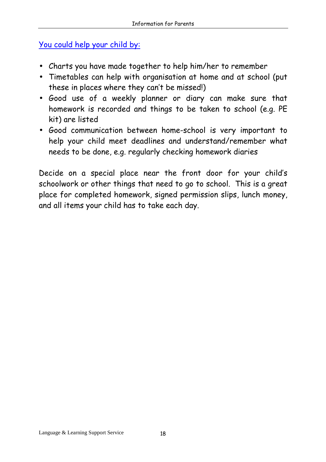## You could help your child by:

- Charts you have made together to help him/her to remember
- Timetables can help with organisation at home and at school (put these in places where they can't be missed!)
- Good use of a weekly planner or diary can make sure that homework is recorded and things to be taken to school (e.g. PE kit) are listed
- Good communication between home-school is very important to help your child meet deadlines and understand/remember what needs to be done, e.g. regularly checking homework diaries

Decide on a special place near the front door for your child's schoolwork or other things that need to go to school. This is a great place for completed homework, signed permission slips, lunch money, and all items your child has to take each day.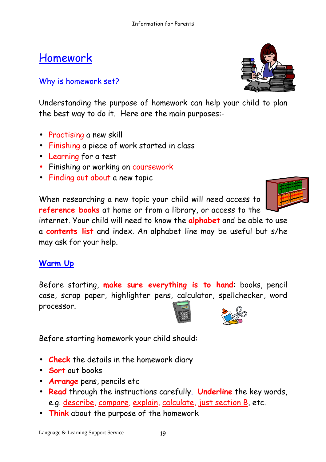# <span id="page-18-0"></span>Homework

### Why is homework set?

Understanding the purpose of homework can help your child to plan the best way to do it. Here are the main purposes:-

- Practising a new skill
- Finishing a piece of work started in class
- Learning for a test
- Finishing or working on coursework
- Finding out about a new topic

When researching a new topic your child will need access to reference books at home or from a library, or access to the

internet. Your child will need to know the **alphabet** and be able to use a contents list and index. An alphabet line may be useful but s/he may ask for your help.

### Warm Up

Before starting, make sure everything is to hand: books, pencil case, scrap paper, highlighter pens, calculator, spellchecker, word processor.

Before starting homework your child should:

- Check the details in the homework diary
- Sort out books
- Arrange pens, pencils etc
- Read through the instructions carefully. Underline the key words, e.g. describe, compare, explain, calculate, just section B, etc.
- Think about the purpose of the homework





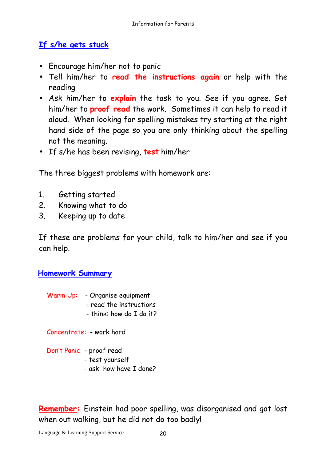## If s/he gets stuck

- Encourage him/her not to panic
- Tell him/her to read the instructions again or help with the reading
- Ask him/her to explain the task to you. See if you agree. Get him/her to proof read the work. Sometimes it can help to read it aloud. When looking for spelling mistakes try starting at the right hand side of the page so you are only thinking about the spelling not the meaning.
- If s/he has been revising, test him/her

The three biggest problems with homework are:

- 1. Getting started
- 2. Knowing what to do
- 3. Keeping up to date

If these are problems for your child, talk to him/her and see if you can help.

### Homework Summary

- Warm Up: Organise equipment - read the instructions
	- think: how do I do it?

Concentrate: - work hard

Don't Panic - proof read

- test yourself
- ask: how have I done?

Remember: Einstein had poor spelling, was disorganised and got lost when out walking, but he did not do too badly!

Language & Learning Support Service 20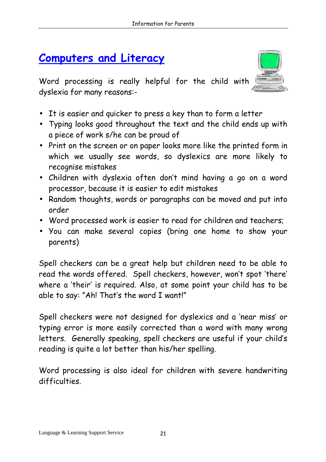## <span id="page-20-0"></span>Computers and Literacy



Word processing is really helpful for the child with dyslexia for many reasons:-

- It is easier and quicker to press a key than to form a letter
- Typing looks good throughout the text and the child ends up with a piece of work s/he can be proud of
- Print on the screen or on paper looks more like the printed form in which we usually see words, so dyslexics are more likely to recognise mistakes
- Children with dyslexia often don't mind having a go on a word processor, because it is easier to edit mistakes
- Random thoughts, words or paragraphs can be moved and put into order
- Word processed work is easier to read for children and teachers;
- You can make several copies (bring one home to show your parents)

Spell checkers can be a great help but children need to be able to read the words offered. Spell checkers, however, won't spot 'there' where a 'their' is required. Also, at some point your child has to be able to say: "Ah! That's the word I want!"

Spell checkers were not designed for dyslexics and a 'near miss' or typing error is more easily corrected than a word with many wrong letters. Generally speaking, spell checkers are useful if your child's reading is quite a lot better than his/her spelling.

Word processing is also ideal for children with severe handwriting difficulties.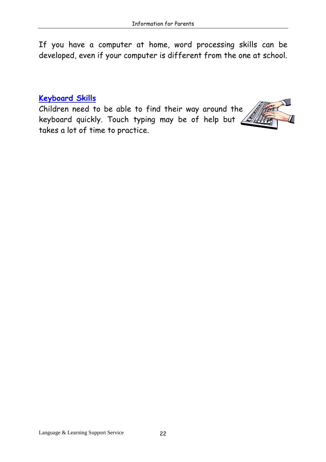If you have a computer at home, word processing skills can be developed, even if your computer is different from the one at school.

### Keyboard Skills

Children need to be able to find their way around the keyboard quickly. Touch typing may be of help but  $\sqrt{\mathscr{L}}$ takes a lot of time to practice.

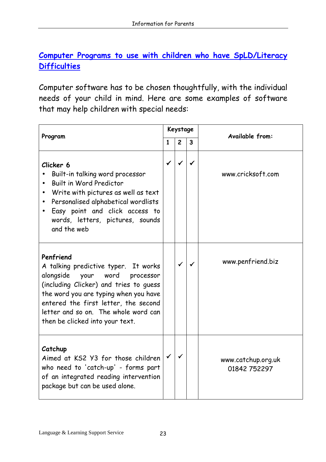## <span id="page-22-0"></span>Computer Programs to use with children who have SpLD/Literacy **Difficulties**

Computer software has to be chosen thoughtfully, with the individual needs of your child in mind. Here are some examples of software that may help children with special needs:

| Program                                                                                                                                                                                                                                                                                  |              | Keystage       |                         | <b>Available from:</b>             |
|------------------------------------------------------------------------------------------------------------------------------------------------------------------------------------------------------------------------------------------------------------------------------------------|--------------|----------------|-------------------------|------------------------------------|
|                                                                                                                                                                                                                                                                                          | $\mathbf{1}$ | $\overline{c}$ | $\overline{\mathbf{3}}$ |                                    |
| Clicker 6<br>Built-in talking word processor<br>Built in Word Predictor<br>Write with pictures as well as text<br>Personalised alphabetical wordlists<br>Easy point and click access to<br>words, letters, pictures, sounds<br>and the web                                               | $\checkmark$ | ✔              | ✓                       | www.cricksoft.com                  |
| Penfriend<br>A talking predictive typer. It works<br>alongside your word processor<br>(including Clicker) and tries to guess<br>the word you are typing when you have<br>entered the first letter, the second<br>letter and so on. The whole word can<br>then be clicked into your text. |              | $\checkmark$   | ✓                       | www.penfriend.biz                  |
| Catchup<br>Aimed at KS2 Y3 for those children<br>who need to 'catch-up' - forms part<br>of an integrated reading intervention<br>package but can be used alone.                                                                                                                          |              | ✓              |                         | www.catchup.org.uk<br>01842 752297 |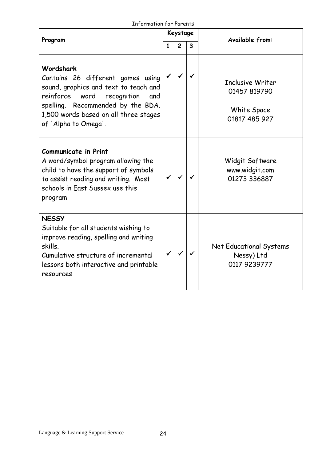| <b>Information for Parents</b> |  |  |
|--------------------------------|--|--|
|--------------------------------|--|--|

| בוווטרווועווטוו וטר רער כוווג                                                                                                                                                                                                            |              |                |                         |                                                                  |
|------------------------------------------------------------------------------------------------------------------------------------------------------------------------------------------------------------------------------------------|--------------|----------------|-------------------------|------------------------------------------------------------------|
| Program                                                                                                                                                                                                                                  |              | Keystage       |                         | Available from:                                                  |
|                                                                                                                                                                                                                                          | $\mathbf{1}$ | $\overline{2}$ | $\overline{\mathbf{3}}$ |                                                                  |
| Wordshark<br>Contains 26 different games using<br>sound, graphics and text to teach and<br>reinforce<br>word<br>recognition<br>and<br>spelling. Recommended by the BDA.<br>1,500 words based on all three stages<br>of 'Alpha to Omega'. | $\checkmark$ | ✓              | ✓                       | Inclusive Writer<br>01457 819790<br>White Space<br>01817 485 927 |
| <b>Communicate in Print</b><br>A word/symbol program allowing the<br>child to have the support of symbols<br>to assist reading and writing. Most<br>schools in East Sussex use this<br>program                                           |              | ✓              |                         | Widgit Software<br>www.widgit.com<br>01273 336887                |
| <b>NESSY</b><br>Suitable for all students wishing to<br>improve reading, spelling and writing<br>skills.<br>Cumulative structure of incremental<br>lessons both interactive and printable<br>resources                                   |              | $\checkmark$   |                         | Net Educational Systems<br>Nessy) Ltd<br>0117 9239777            |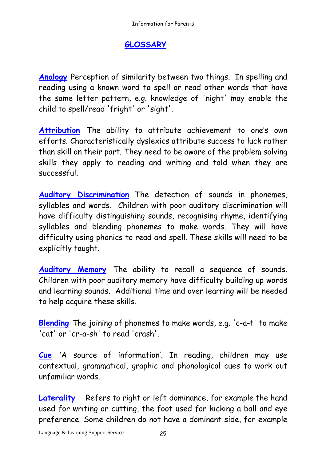## **GLOSSARY**

<span id="page-24-0"></span>Analogy Perception of similarity between two things. In spelling and reading using a known word to spell or read other words that have the same letter pattern, e.g. knowledge of 'night' may enable the child to spell/read 'fright' or 'sight'.

Attribution The ability to attribute achievement to one's own efforts. Characteristically dyslexics attribute success to luck rather than skill on their part. They need to be aware of the problem solving skills they apply to reading and writing and told when they are successful.

Auditory Discrimination The detection of sounds in phonemes, syllables and words. Children with poor auditory discrimination will have difficulty distinguishing sounds, recognising rhyme, identifying syllables and blending phonemes to make words. They will have difficulty using phonics to read and spell. These skills will need to be explicitly taught.

Auditory Memory The ability to recall a sequence of sounds. Children with poor auditory memory have difficulty building up words and learning sounds. Additional time and over learning will be needed to help acquire these skills.

Blending The joining of phonemes to make words, e.g. 'c-a-t' to make 'cat' or 'cr-a-sh' to read 'crash'.

Cue 'A source of information'. In reading, children may use contextual, grammatical, graphic and phonological cues to work out unfamiliar words.

Laterality Refers to right or left dominance, for example the hand used for writing or cutting, the foot used for kicking a ball and eye preference. Some children do not have a dominant side, for example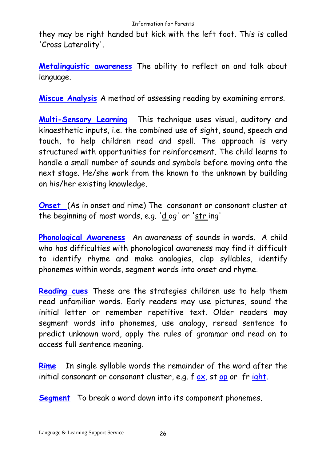they may be right handed but kick with the left foot. This is called 'Cross Laterality'.

Metalinquistic awareness The ability to reflect on and talk about language.

Miscue Analysis A method of assessing reading by examining errors.

Multi-Sensory Learning This technique uses visual, auditory and kinaesthetic inputs, i.e. the combined use of sight, sound, speech and touch, to help children read and spell. The approach is very structured with opportunities for reinforcement. The child learns to handle a small number of sounds and symbols before moving onto the next stage. He/she work from the known to the unknown by building on his/her existing knowledge.

Onset (As in onset and rime) The consonant or consonant cluster at the beginning of most words, e.g. 'd og' or 'str ing'

Phonological Awareness An awareness of sounds in words. A child who has difficulties with phonological awareness may find it difficult to identify rhyme and make analogies, clap syllables, identify phonemes within words, segment words into onset and rhyme.

Reading cues These are the strategies children use to help them read unfamiliar words. Early readers may use pictures, sound the initial letter or remember repetitive text. Older readers may segment words into phonemes, use analogy, reread sentence to predict unknown word, apply the rules of grammar and read on to access full sentence meaning.

Rime In single syllable words the remainder of the word after the initial consonant or consonant cluster, e.g.  $f$  ox, st op or fr ight.

Segment To break a word down into its component phonemes.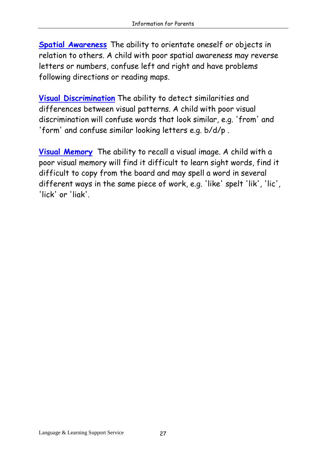Spatial Awareness The ability to orientate oneself or objects in relation to others. A child with poor spatial awareness may reverse letters or numbers, confuse left and right and have problems following directions or reading maps.

Visual Discrimination The ability to detect similarities and differences between visual patterns. A child with poor visual discrimination will confuse words that look similar, e.g. 'from' and 'form' and confuse similar looking letters e.g. b/d/p .

Visual Memory The ability to recall a visual image. A child with a poor visual memory will find it difficult to learn sight words, find it difficult to copy from the board and may spell a word in several different ways in the same piece of work, e.g. 'like' spelt 'lik', 'lic', 'lick' or 'liak'.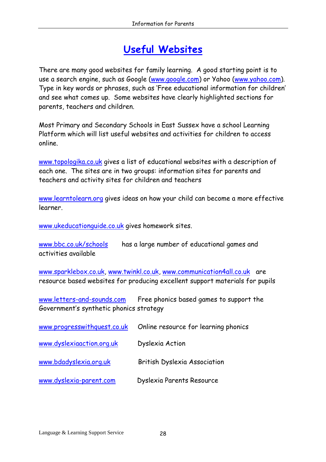## Useful Websites

<span id="page-27-0"></span>There are many good websites for family learning. A good starting point is to use a search engine, such as Google (www.google.com) or Yahoo (www.yahoo.com). Type in key words or phrases, such as 'Free educational information for children' and see what comes up. Some websites have clearly highlighted sections for parents, teachers and children.

Most Primary and Secondary Schools in East Sussex have a school Learning Platform which will list useful websites and activities for children to access online.

www.topologika.co.uk gives a list of educational websites with a description of each one. The sites are in two groups: information sites for parents and teachers and activity sites for children and teachers

www.learntolearn.org gives ideas on how your child can become a more effective learner.

www.ukeducationguide.co.uk gives homework sites.

www.bbc.co.uk/schools has a large number of educational games and activities available

www.sparklebox.co.uk, www.twinkl.co.uk, www.communication4all.co.uk are resource based websites for producing excellent support materials for pupils

www.letters-and-sounds.com Free phonics based games to support the Government's synthetic phonics strategy

| www.progresswithquest.co.uk | Online resource for learning phonics |
|-----------------------------|--------------------------------------|
| www.dyslexiaaction.org.uk   | Dyslexia Action                      |
| www.bdadyslexia.org.uk      | British Dyslexia Association         |
| www.dyslexia-parent.com     | Dyslexia Parents Resource            |